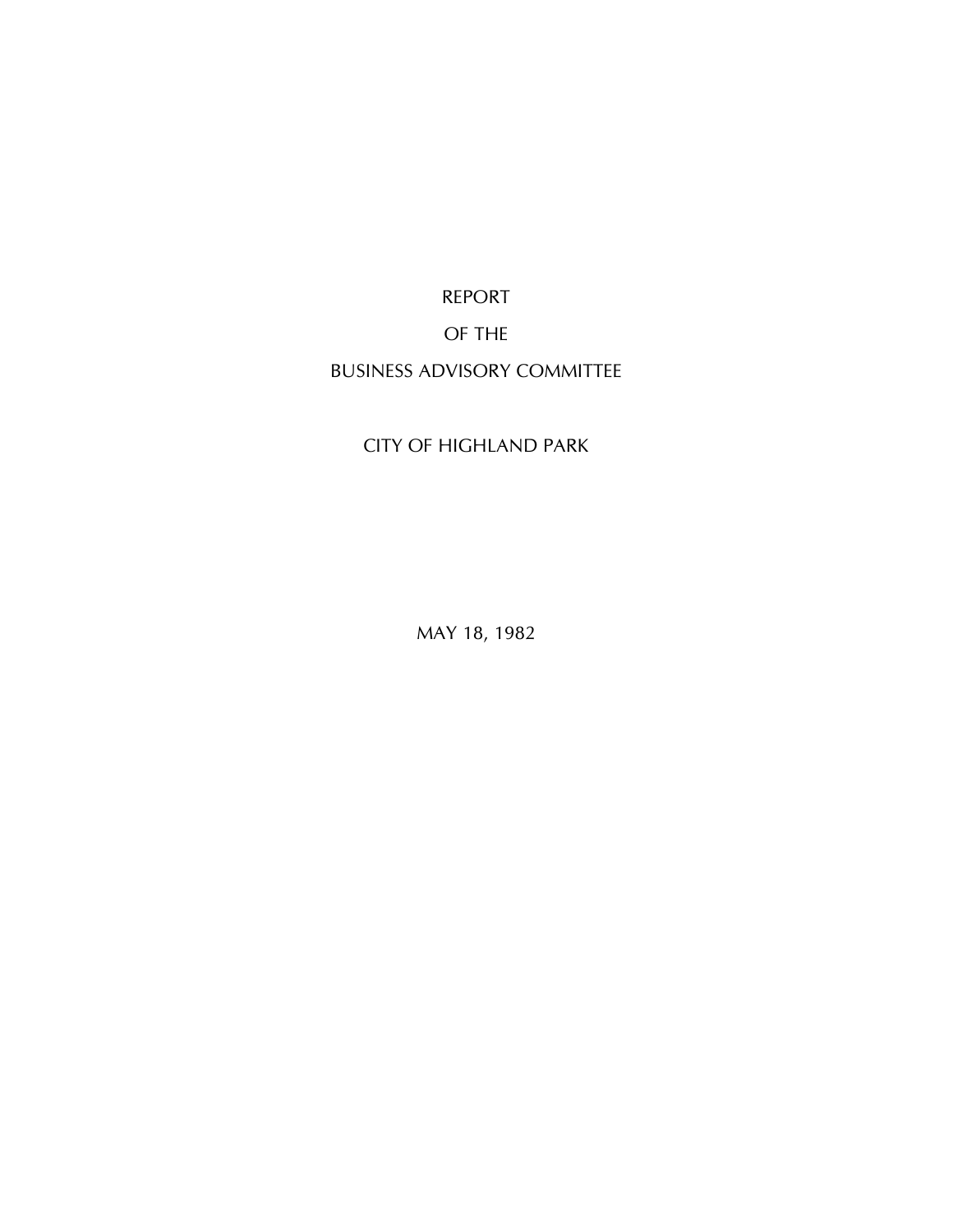REPORT

### OF THE

## BUSINESS ADVISORY COMMITTEE

## CITY OF HIGHLAND PARK

MAY 18, 1982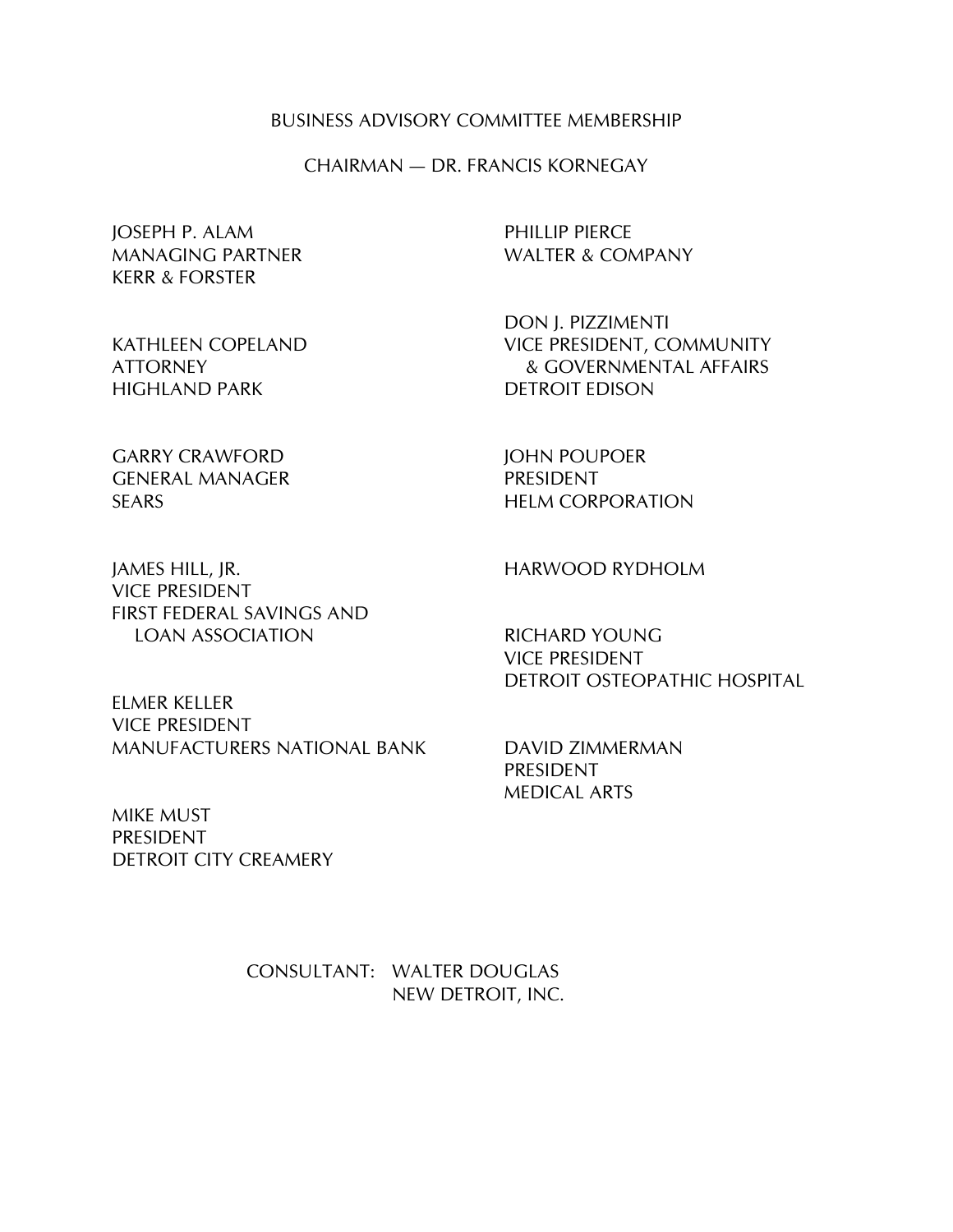#### BUSINESS ADVISORY COMMITTEE MEMBERSHIP

CHAIRMAN — DR. FRANCIS KORNEGAY

JOSEPH P. ALAM PHILLIP PIERCE MANAGING PARTNER WALTER & COMPANY KERR & FORSTER

DON J. PIZZIMENTI KATHLEEN COPELAND VICE PRESIDENT, COMMUNITY ATTORNEY & GOVERNMENTAL AFFAIRS HIGHLAND PARK DETROIT EDISON

GARRY CRAWFORD JOHN POUPOER GENERAL MANAGER PRESIDENT SEARS **HELM CORPORATION** 

JAMES HILL, JR. THE STATE HARWOOD RYDHOLM VICE PRESIDENT FIRST FEDERAL SAVINGS AND LOAN ASSOCIATION RICHARD YOUNG

ELMER KELLER VICE PRESIDENT MANUFACTURERS NATIONAL BANK DAVID ZIMMERMAN

MIKE MUST PRESIDENT DETROIT CITY CREAMERY

VICE PRESIDENT DETROIT OSTEOPATHIC HOSPITAL

PRESIDENT MEDICAL ARTS

CONSULTANT: WALTER DOUGLAS NEW DETROIT, INC.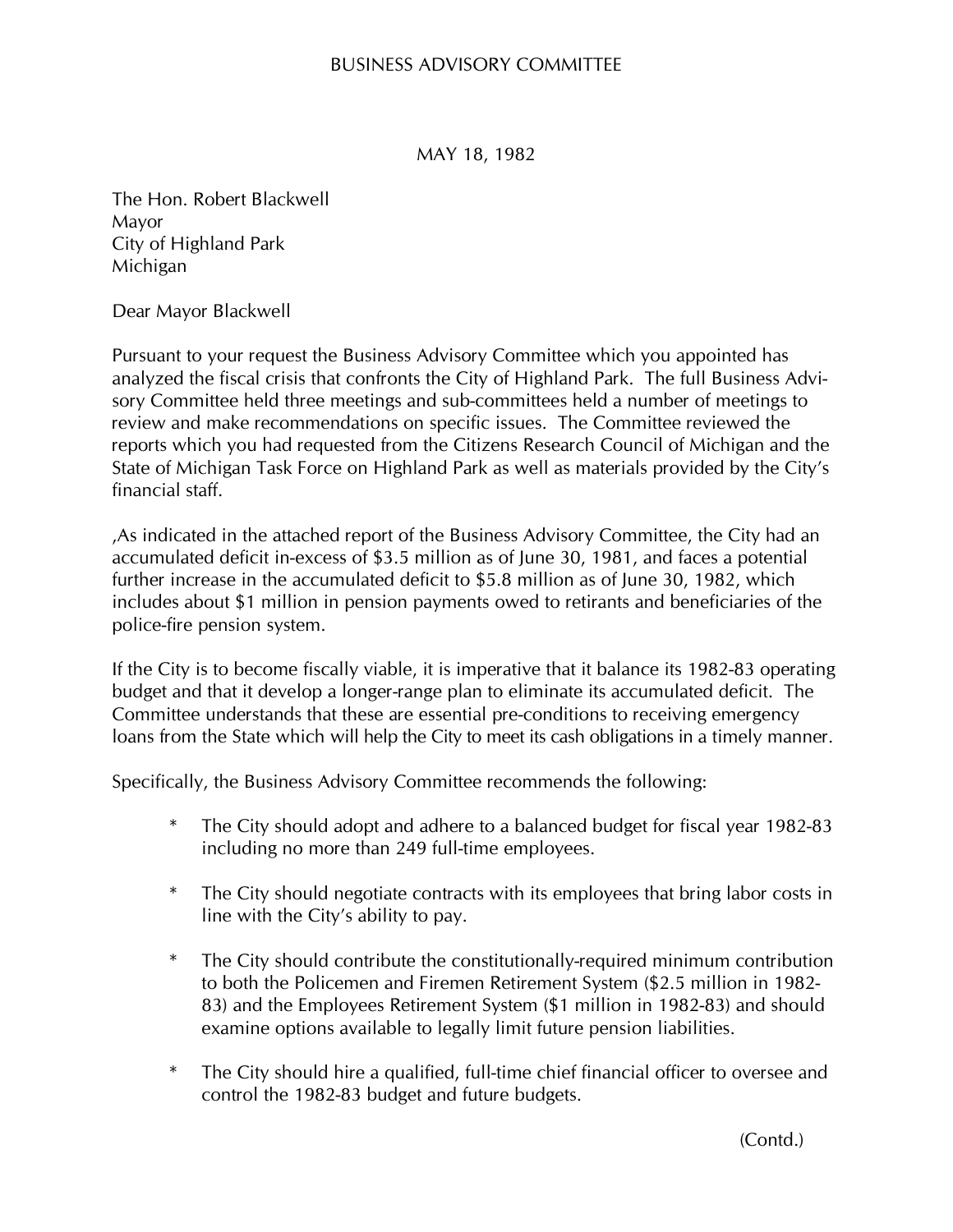### BUSINESS ADVISORY COMMITTEE

MAY 18, 1982

The Hon. Robert Blackwell Mayor City of Highland Park Michigan

Dear Mayor Blackwell

Pursuant to your request the Business Advisory Committee which you appointed has analyzed the fiscal crisis that confronts the City of Highland Park. The full Business Advisory Committee held three meetings and sub-committees held a number of meetings to review and make recommendations on specific issues. The Committee reviewed the reports which you had requested from the Citizens Research Council of Michigan and the State of Michigan Task Force on Highland Park as well as materials provided by the City's financial staff.

,As indicated in the attached report of the Business Advisory Committee, the City had an accumulated deficit in-excess of \$3.5 million as of June 30, 1981, and faces a potential further increase in the accumulated deficit to \$5.8 million as of June 30, 1982, which includes about \$1 million in pension payments owed to retirants and beneficiaries of the police-fire pension system.

If the City is to become fiscally viable, it is imperative that it balance its 1982-83 operating budget and that it develop a longer-range plan to eliminate its accumulated deficit. The Committee understands that these are essential pre-conditions to receiving emergency loans from the State which will help the City to meet its cash obligations in a timely manner.

Specifically, the Business Advisory Committee recommends the following:

- \* The City should adopt and adhere to a balanced budget for fiscal year 1982-83 including no more than 249 full-time employees.
- \* The City should negotiate contracts with its employees that bring labor costs in line with the City's ability to pay.
- \* The City should contribute the constitutionally-required minimum contribution to both the Policemen and Firemen Retirement System (\$2.5 million in 1982- 83) and the Employees Retirement System (\$1 million in 1982-83) and should examine options available to legally limit future pension liabilities.
- \* The City should hire a qualified, full-time chief financial officer to oversee and control the 1982-83 budget and future budgets.

(Contd.)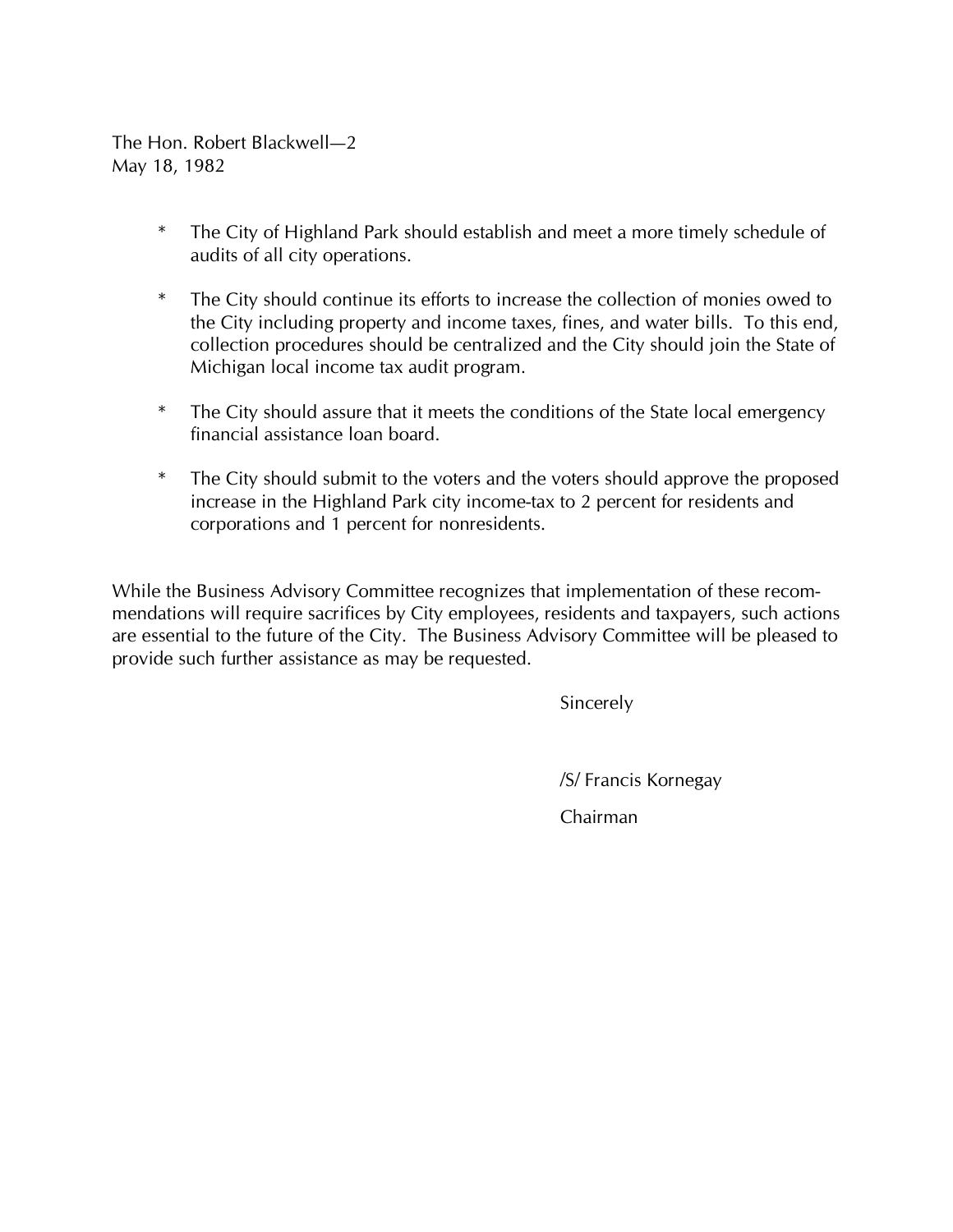The Hon. Robert Blackwell—2 May 18, 1982

- \* The City of Highland Park should establish and meet a more timely schedule of audits of all city operations.
- \* The City should continue its efforts to increase the collection of monies owed to the City including property and income taxes, fines, and water bills. To this end, collection procedures should be centralized and the City should join the State of Michigan local income tax audit program.
- \* The City should assure that it meets the conditions of the State local emergency financial assistance loan board.
- \* The City should submit to the voters and the voters should approve the proposed increase in the Highland Park city income-tax to 2 percent for residents and corporations and 1 percent for nonresidents.

While the Business Advisory Committee recognizes that implementation of these recommendations will require sacrifices by City employees, residents and taxpayers, such actions are essential to the future of the City. The Business Advisory Committee will be pleased to provide such further assistance as may be requested.

Sincerely

/S/ Francis Kornegay

Chairman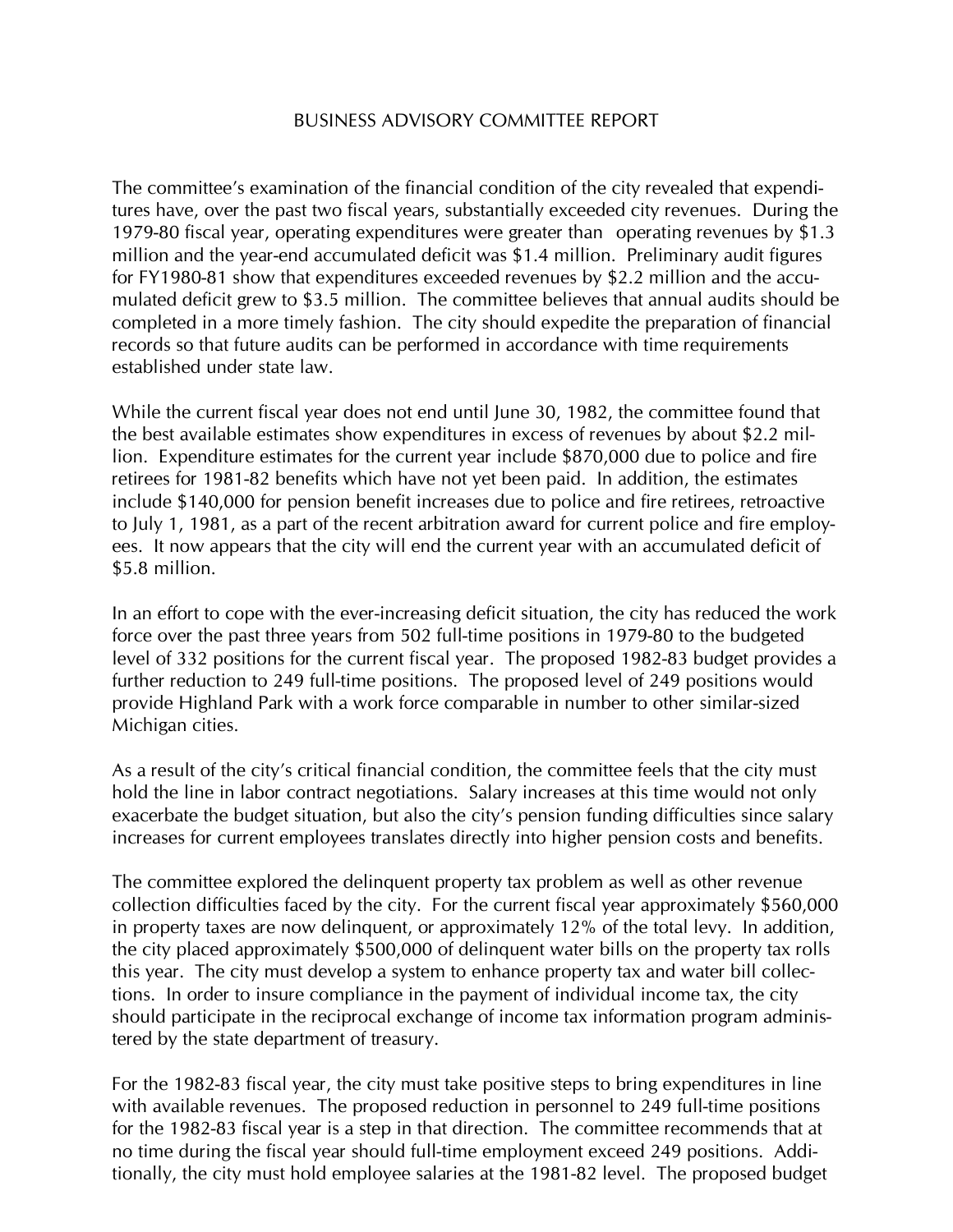### BUSINESS ADVISORY COMMITTEE REPORT

The committee's examination of the financial condition of the city revealed that expenditures have, over the past two fiscal years, substantially exceeded city revenues. During the 1979-80 fiscal year, operating expenditures were greater than operating revenues by \$1.3 million and the year-end accumulated deficit was \$1.4 million. Preliminary audit figures for FY1980-81 show that expenditures exceeded revenues by \$2.2 million and the accumulated deficit grew to \$3.5 million. The committee believes that annual audits should be completed in a more timely fashion. The city should expedite the preparation of financial records so that future audits can be performed in accordance with time requirements established under state law.

While the current fiscal year does not end until June 30, 1982, the committee found that the best available estimates show expenditures in excess of revenues by about \$2.2 million. Expenditure estimates for the current year include \$870,000 due to police and fire retirees for 1981-82 benefits which have not yet been paid. In addition, the estimates include \$140,000 for pension benefit increases due to police and fire retirees, retroactive to July 1, 1981, as a part of the recent arbitration award for current police and fire employees. It now appears that the city will end the current year with an accumulated deficit of \$5.8 million.

In an effort to cope with the ever-increasing deficit situation, the city has reduced the work force over the past three years from 502 full-time positions in 1979-80 to the budgeted level of 332 positions for the current fiscal year. The proposed 1982-83 budget provides a further reduction to 249 full-time positions. The proposed level of 249 positions would provide Highland Park with a work force comparable in number to other similar-sized Michigan cities.

As a result of the city's critical financial condition, the committee feels that the city must hold the line in labor contract negotiations. Salary increases at this time would not only exacerbate the budget situation, but also the city's pension funding difficulties since salary increases for current employees translates directly into higher pension costs and benefits.

The committee explored the delinquent property tax problem as well as other revenue collection difficulties faced by the city. For the current fiscal year approximately \$560,000 in property taxes are now delinquent, or approximately 12% of the total levy. In addition, the city placed approximately \$500,000 of delinquent water bills on the property tax rolls this year. The city must develop a system to enhance property tax and water bill collections. In order to insure compliance in the payment of individual income tax, the city should participate in the reciprocal exchange of income tax information program administered by the state department of treasury.

For the 1982-83 fiscal year, the city must take positive steps to bring expenditures in line with available revenues. The proposed reduction in personnel to 249 full-time positions for the 1982-83 fiscal year is a step in that direction. The committee recommends that at no time during the fiscal year should full-time employment exceed 249 positions. Additionally, the city must hold employee salaries at the 1981-82 level. The proposed budget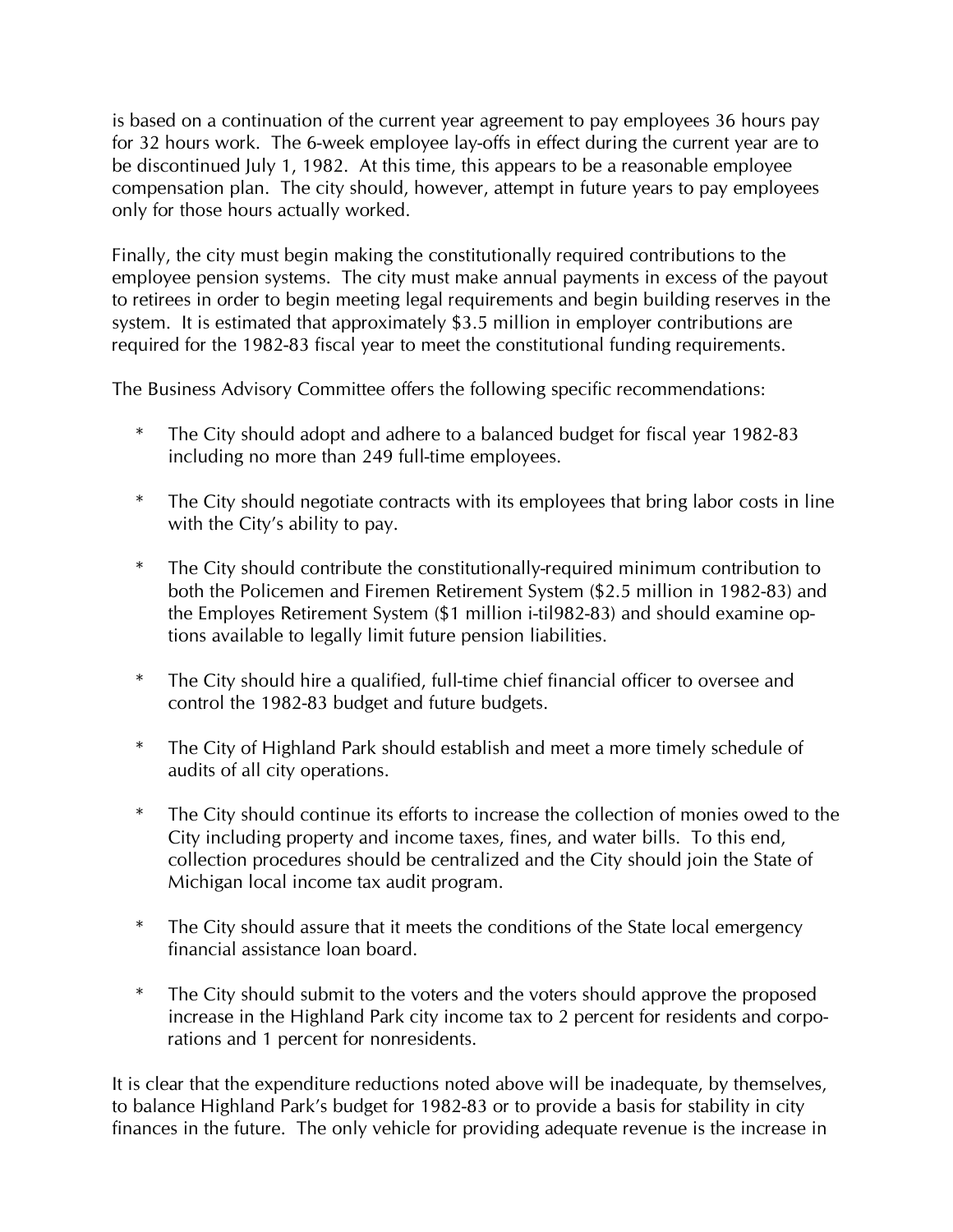is based on a continuation of the current year agreement to pay employees 36 hours pay for 32 hours work. The 6-week employee lay-offs in effect during the current year are to be discontinued July 1, 1982. At this time, this appears to be a reasonable employee compensation plan. The city should, however, attempt in future years to pay employees only for those hours actually worked.

Finally, the city must begin making the constitutionally required contributions to the employee pension systems. The city must make annual payments in excess of the payout to retirees in order to begin meeting legal requirements and begin building reserves in the system. It is estimated that approximately \$3.5 million in employer contributions are required for the 1982-83 fiscal year to meet the constitutional funding requirements.

The Business Advisory Committee offers the following specific recommendations:

- The City should adopt and adhere to a balanced budget for fiscal year 1982-83 including no more than 249 full-time employees.
- \* The City should negotiate contracts with its employees that bring labor costs in line with the City's ability to pay.
- \* The City should contribute the constitutionally-required minimum contribution to both the Policemen and Firemen Retirement System (\$2.5 million in 1982-83) and the Employes Retirement System (\$1 million i-til982-83) and should examine options available to legally limit future pension liabilities.
- \* The City should hire a qualified, full-time chief financial officer to oversee and control the 1982-83 budget and future budgets.
- \* The City of Highland Park should establish and meet a more timely schedule of audits of all city operations.
- \* The City should continue its efforts to increase the collection of monies owed to the City including property and income taxes, fines, and water bills. To this end, collection procedures should be centralized and the City should join the State of Michigan local income tax audit program.
- \* The City should assure that it meets the conditions of the State local emergency financial assistance loan board.
- \* The City should submit to the voters and the voters should approve the proposed increase in the Highland Park city income tax to 2 percent for residents and corporations and 1 percent for nonresidents.

It is clear that the expenditure reductions noted above will be inadequate, by themselves, to balance Highland Park's budget for 1982-83 or to provide a basis for stability in city finances in the future. The only vehicle for providing adequate revenue is the increase in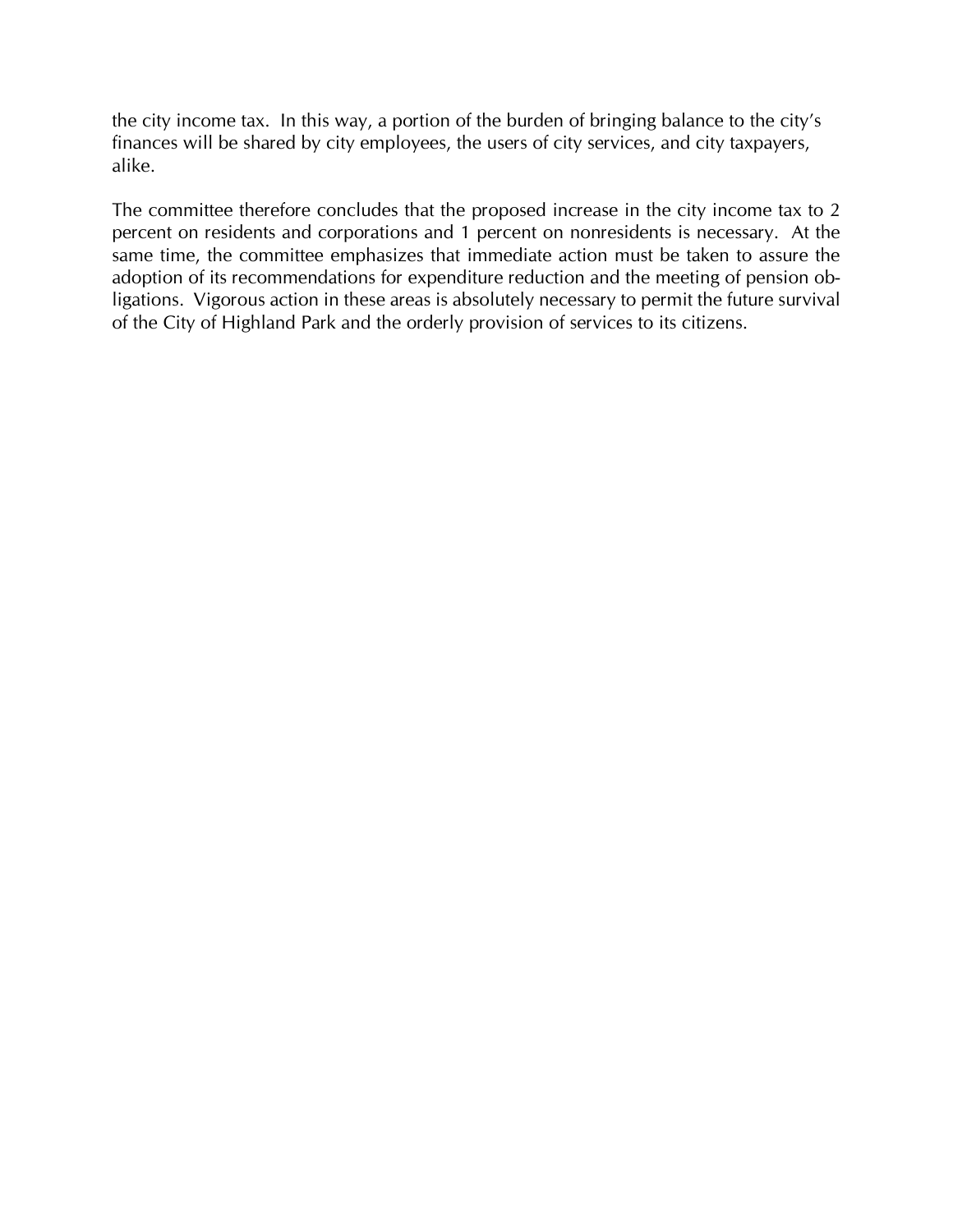the city income tax. In this way, a portion of the burden of bringing balance to the city's finances will be shared by city employees, the users of city services, and city taxpayers, alike.

The committee therefore concludes that the proposed increase in the city income tax to 2 percent on residents and corporations and 1 percent on nonresidents is necessary. At the same time, the committee emphasizes that immediate action must be taken to assure the adoption of its recommendations for expenditure reduction and the meeting of pension obligations. Vigorous action in these areas is absolutely necessary to permit the future survival of the City of Highland Park and the orderly provision of services to its citizens.